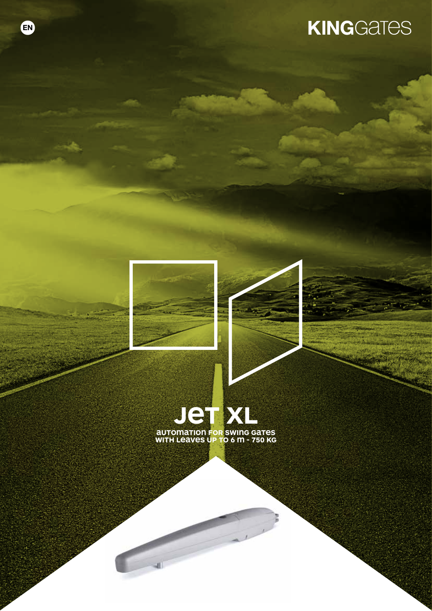# **KINGGATES**



EN



**with leaves up to 6 m - 750 Kg**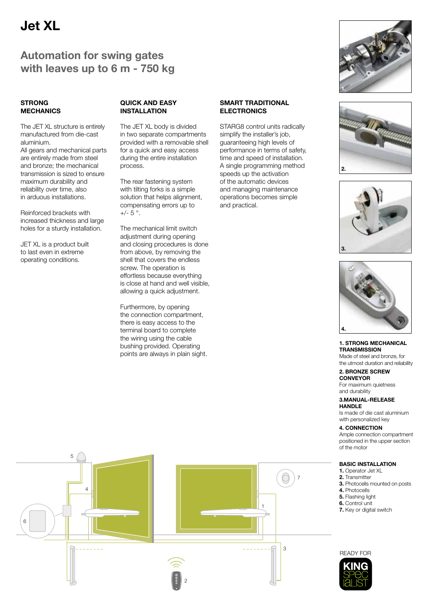# Jet XL

## Automation for swing gates with leaves up to 6 m - 750 kg

### **STRONG MECHANICS**

The JET XL structure is entirely manufactured from die-cast aluminium.

All gears and mechanical parts are entirely made from steel and bronze; the mechanical transmission is sized to ensure maximum durability and reliability over time, also in arduous installations.

Reinforced brackets with increased thickness and large holes for a sturdy installation.

JET XL is a product built to last even in extreme operating conditions.

### QUICK AND EASY INSTALL ATION

The JET XL body is divided in two separate compartments provided with a removable shell for a quick and easy access during the entire installation process.

The rear fastening system with tilting forks is a simple solution that helps alignment, compensating errors up to  $+/- 5$  °.

The mechanical limit switch adiustment during opening and closing procedures is done from above, by removing the shell that covers the endless screw. The operation is effortless because everything is close at hand and well visible, allowing a quick adjustment.

Furthermore, by opening the connection compartment, there is easy access to the terminal board to complete the wiring using the cable bushing provided. Operating points are always in plain sight.

### SMART TRADITIONAL ELECTRONICS

STARG8 control units radically simplify the installer's job. guaranteeing high levels of performance in terms of safety, time and speed of installation. A single programming method speeds up the activation of the automatic devices and managing maintenance operations becomes simple and practical.









### 1. STRONG MECHANICAL **TRANSMISSION**

Made of steel and bronze, for the utmost duration and reliability

### 2. BRONZE SCREW CONVEYOR

For maximum quietness and durability

### 3.MANUAL-RELEASE **HANDLE**

Is made of die cast aluminium with personalized key

### 4. CONNECTION

Ample connection compartment positioned in the upper section of the motor

### BASIC INSTALLATION

- 1. Operator Jet XL
- 2. Transmitter
- 3. Photocells mounted on posts
- 4. Photocells
- 5. Flashing light
- 6. Control unit 7. Key or digital switch
- 





# 2 1 4 7 6 3 5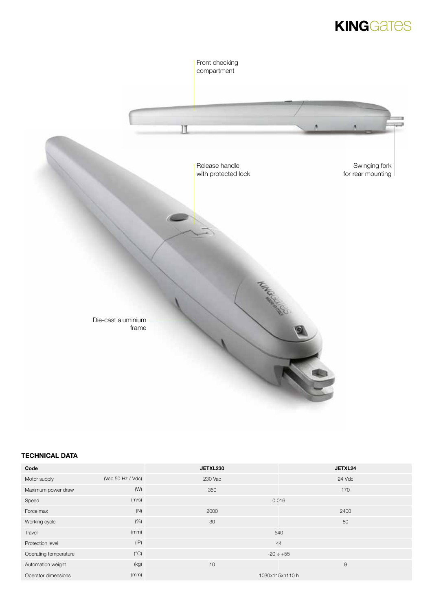# **KINGGATES**



### TECHNICAL DATA

| Code                  |                   | JETXL230        | JETXL24     |
|-----------------------|-------------------|-----------------|-------------|
| Motor supply          | (Vac 50 Hz / Vdc) | 230 Vac         | 24 Vdc      |
| Maximum power draw    | (W)               | 350             | 170         |
| Speed                 | (m/s)             | 0.016           |             |
| Force max             | (N)               | 2000            | 2400        |
| Working cycle         | (% )              | 30              | 80          |
| Travel                | (mm)              | 540             |             |
| Protection level      | (IP)              | 44              |             |
| Operating temperature | $(^{\circ}C)$     | $-20 \div +55$  |             |
| Automation weight     | (kg)              | 10              | $\mathsf 9$ |
| Operator dimensions   | (mm)              | 1030x115xh110 h |             |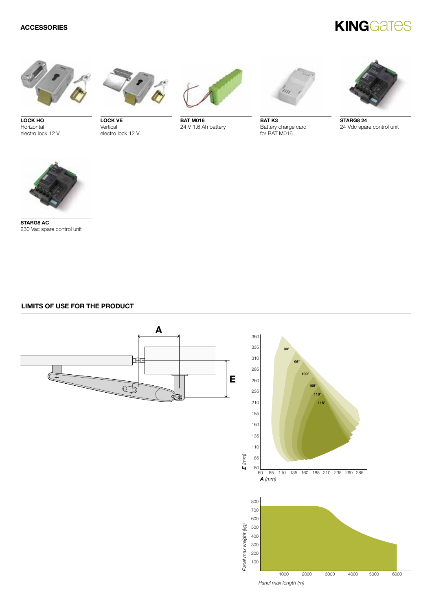# **KINGGATES**

![](_page_3_Picture_2.jpeg)

LOCK HO Horizontal electro lock 12 V

LOCK VE **Vertical** electro lock 12 V

![](_page_3_Picture_5.jpeg)

BAT M016 24 V 1.6 Ah battery

![](_page_3_Picture_7.jpeg)

BAT K3 Battery charge card for BAT M016

![](_page_3_Picture_9.jpeg)

STARG8 24 24 Vdc spare control unit

![](_page_3_Picture_11.jpeg)

STARG8 AC 230 Vac spare control unit

### LIMITS OF USE FOR THE PRODUCT

![](_page_3_Figure_14.jpeg)

![](_page_3_Figure_15.jpeg)